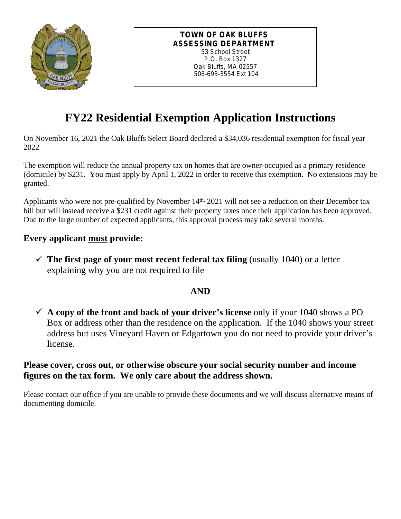

### **TOWN OF OAK BLUFFS ASSESSING DEPARTMENT** 53 School Street

P.O. Box 1327 Oak Bluffs, MA 02557 508-693-3554 Ext 104

# **FY22 Residential Exemption Application Instructions**

On November 16, 2021 the Oak Bluffs Select Board declared a \$34,036 residential exemption for fiscal year 2022

The exemption will reduce the annual property tax on homes that are owner-occupied as a primary residence (domicile) by \$231. You must apply by April 1, 2022 in order to receive this exemption. No extensions may be granted.

Applicants who were not pre-qualified by November 14<sup>th,</sup> 2021 will not see a reduction on their December tax bill but will instead receive a \$231 credit against their property taxes once their application has been approved. Due to the large number of expected applicants, this approval process may take several months.

## **Every applicant must provide:**

 $\checkmark$  The first page of your most recent federal tax filing (usually 1040) or a letter explaining why you are not required to file

### **AND**

 $\checkmark$  A copy of the front and back of your driver's license only if your 1040 shows a PO Box or address other than the residence on the application. If the 1040 shows your street address but uses Vineyard Haven or Edgartown you do not need to provide your driver's license.

### **Please cover, cross out, or otherwise obscure your social security number and income figures on the tax form. We only care about the address shown.**

Please contact our office if you are unable to provide these documents and we will discuss alternative means of documenting domicile.